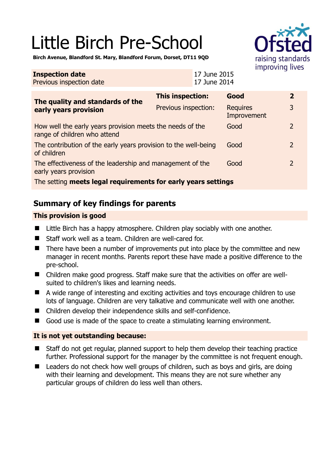# Little Birch Pre-School



**Birch Avenue, Blandford St. Mary, Blandford Forum, Dorset, DT11 9QD** 

#### **Inspection date** Previous inspection date 17 June 2015 17 June 2014 **The quality and standards of the early years provision This inspection: Good 2**  Previous inspection: Requires Improvement 3 How well the early years provision meets the needs of the range of children who attend Good 2 The contribution of the early years provision to the well-being of children Good 2 The effectiveness of the leadership and management of the early years provision Good 2 The setting **meets legal requirements for early years settings**

## **Summary of key findings for parents**

### **This provision is good**

- Little Birch has a happy atmosphere. Children play sociably with one another.
- Staff work well as a team. Children are well-cared for.
- There have been a number of improvements put into place by the committee and new manager in recent months. Parents report these have made a positive difference to the pre-school.
- Children make good progress. Staff make sure that the activities on offer are wellsuited to children's likes and learning needs.
- A wide range of interesting and exciting activities and toys encourage children to use lots of language. Children are very talkative and communicate well with one another.
- Children develop their independence skills and self-confidence.
- Good use is made of the space to create a stimulating learning environment.

#### **It is not yet outstanding because:**

- Staff do not get regular, planned support to help them develop their teaching practice further. Professional support for the manager by the committee is not frequent enough.
- Leaders do not check how well groups of children, such as boys and girls, are doing with their learning and development. This means they are not sure whether any particular groups of children do less well than others.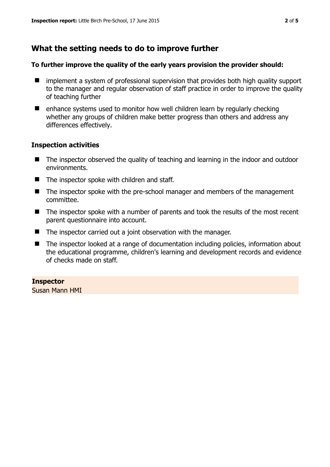## **What the setting needs to do to improve further**

#### **To further improve the quality of the early years provision the provider should:**

- implement a system of professional supervision that provides both high quality support to the manager and regular observation of staff practice in order to improve the quality of teaching further
- $\blacksquare$  enhance systems used to monitor how well children learn by regularly checking whether any groups of children make better progress than others and address any differences effectively.

#### **Inspection activities**

- The inspector observed the quality of teaching and learning in the indoor and outdoor environments.
- The inspector spoke with children and staff.
- The inspector spoke with the pre-school manager and members of the management committee.
- The inspector spoke with a number of parents and took the results of the most recent parent questionnaire into account.
- The inspector carried out a joint observation with the manager.
- The inspector looked at a range of documentation including policies, information about the educational programme, children's learning and development records and evidence of checks made on staff.

**Inspector**  Susan Mann HMI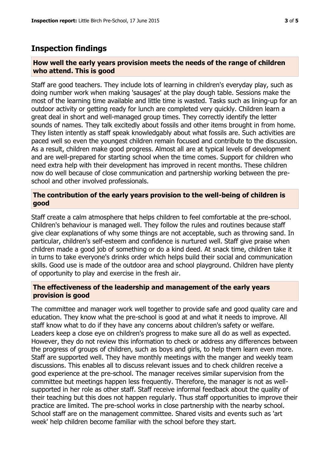### **Inspection findings**

#### **How well the early years provision meets the needs of the range of children who attend. This is good**

Staff are good teachers. They include lots of learning in children's everyday play, such as doing number work when making 'sausages' at the play dough table. Sessions make the most of the learning time available and little time is wasted. Tasks such as lining-up for an outdoor activity or getting ready for lunch are completed very quickly. Children learn a great deal in short and well-managed group times. They correctly identify the letter sounds of names. They talk excitedly about fossils and other items brought in from home. They listen intently as staff speak knowledgably about what fossils are. Such activities are paced well so even the youngest children remain focused and contribute to the discussion. As a result, children make good progress. Almost all are at typical levels of development and are well-prepared for starting school when the time comes. Support for children who need extra help with their development has improved in recent months. These children now do well because of close communication and partnership working between the preschool and other involved professionals.

#### **The contribution of the early years provision to the well-being of children is good**

Staff create a calm atmosphere that helps children to feel comfortable at the pre-school. Children's behaviour is managed well. They follow the rules and routines because staff give clear explanations of why some things are not acceptable, such as throwing sand. In particular, children's self-esteem and confidence is nurtured well. Staff give praise when children made a good job of something or do a kind deed. At snack time, children take it in turns to take everyone's drinks order which helps build their social and communication skills. Good use is made of the outdoor area and school playground. Children have plenty of opportunity to play and exercise in the fresh air.

#### **The effectiveness of the leadership and management of the early years provision is good**

The committee and manager work well together to provide safe and good quality care and education. They know what the pre-school is good at and what it needs to improve. All staff know what to do if they have any concerns about children's safety or welfare. Leaders keep a close eye on children's progress to make sure all do as well as expected. However, they do not review this information to check or address any differences between the progress of groups of children, such as boys and girls, to help them learn even more. Staff are supported well. They have monthly meetings with the manger and weekly team discussions. This enables all to discuss relevant issues and to check children receive a good experience at the pre-school. The manager receives similar supervision from the committee but meetings happen less frequently. Therefore, the manager is not as wellsupported in her role as other staff. Staff receive informal feedback about the quality of their teaching but this does not happen regularly. Thus staff opportunities to improve their practice are limited. The pre-school works in close partnership with the nearby school. School staff are on the management committee. Shared visits and events such as 'art week' help children become familiar with the school before they start.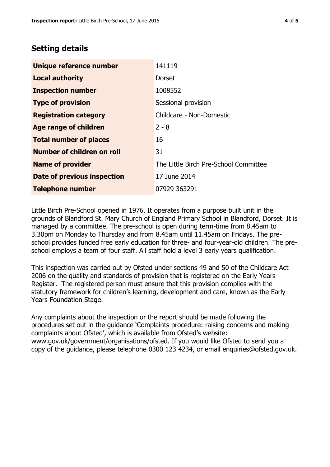## **Setting details**

| Unique reference number       | 141119                                |
|-------------------------------|---------------------------------------|
| <b>Local authority</b>        | <b>Dorset</b>                         |
| <b>Inspection number</b>      | 1008552                               |
| <b>Type of provision</b>      | Sessional provision                   |
| <b>Registration category</b>  | Childcare - Non-Domestic              |
| Age range of children         | $2 - 8$                               |
| <b>Total number of places</b> | 16                                    |
| Number of children on roll    | 31                                    |
| <b>Name of provider</b>       | The Little Birch Pre-School Committee |
| Date of previous inspection   | 17 June 2014                          |
| <b>Telephone number</b>       | 07929 363291                          |

Little Birch Pre-School opened in 1976. It operates from a purpose built unit in the grounds of Blandford St. Mary Church of England Primary School in Blandford, Dorset. It is managed by a committee. The pre-school is open during term-time from 8.45am to 3.30pm on Monday to Thursday and from 8.45am until 11.45am on Fridays. The preschool provides funded free early education for three- and four-year-old children. The preschool employs a team of four staff. All staff hold a level 3 early years qualification.

This inspection was carried out by Ofsted under sections 49 and 50 of the Childcare Act 2006 on the quality and standards of provision that is registered on the Early Years Register. The registered person must ensure that this provision complies with the statutory framework for children's learning, development and care, known as the Early Years Foundation Stage.

Any complaints about the inspection or the report should be made following the procedures set out in the guidance 'Complaints procedure: raising concerns and making complaints about Ofsted', which is available from Ofsted's website: www.gov.uk/government/organisations/ofsted. If you would like Ofsted to send you a copy of the guidance, please telephone 0300 123 4234, or email enquiries@ofsted.gov.uk.